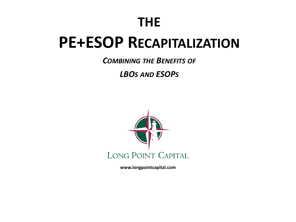# **THE**

# **PE+ESOP RECAPITALIZATION**

*COMBINING THE BENEFITS OF*

*LBOS AND ESOPS*



**www.longpointcapital.com**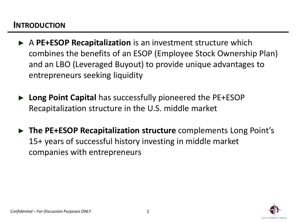#### **INTRODUCTION**

- ► A **PE+ESOP Recapitalization** is an investment structure which combines the benefits of an ESOP (Employee Stock Ownership Plan) and an LBO (Leveraged Buyout) to provide unique advantages to entrepreneurs seeking liquidity
- ► **Long Point Capital** has successfully pioneered the PE+ESOP Recapitalization structure in the U.S. middle market
- ► **The PE+ESOP Recapitalization structure** complements Long Point's 15+ years of successful history investing in middle market companies with entrepreneurs

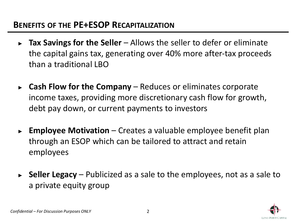#### **BENEFITS OF THE PE+ESOP RECAPITALIZATION**

- ► **Tax Savings for the Seller**  Allows the seller to defer or eliminate the capital gains tax, generating over 40% more after-tax proceeds than a traditional LBO
- ► **Cash Flow for the Company**  Reduces or eliminates corporate income taxes, providing more discretionary cash flow for growth, debt pay down, or current payments to investors
- ► **Employee Motivation** Creates a valuable employee benefit plan through an ESOP which can be tailored to attract and retain employees
- ► **Seller Legacy**  Publicized as a sale to the employees, not as a sale to a private equity group

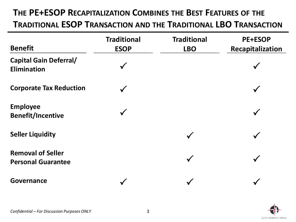#### **THE PE+ESOP RECAPITALIZATION COMBINES THE BEST FEATURES OF THE**

**TRADITIONAL ESOP TRANSACTION AND THE TRADITIONAL LBO TRANSACTION**

| <b>Benefit</b>                                        | <b>Traditional</b><br><b>ESOP</b> | <b>Traditional</b><br><b>LBO</b> | <b>PE+ESOP</b><br>Recapitalization |
|-------------------------------------------------------|-----------------------------------|----------------------------------|------------------------------------|
| <b>Capital Gain Deferral/</b><br><b>Elimination</b>   |                                   |                                  |                                    |
| <b>Corporate Tax Reduction</b>                        |                                   |                                  |                                    |
| <b>Employee</b><br><b>Benefit/Incentive</b>           |                                   |                                  |                                    |
| <b>Seller Liquidity</b>                               |                                   | $\checkmark$                     |                                    |
| <b>Removal of Seller</b><br><b>Personal Guarantee</b> |                                   | $\checkmark$                     |                                    |
| <b>Governance</b>                                     |                                   |                                  |                                    |

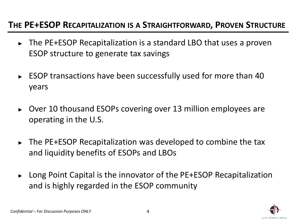#### **THE PE+ESOP RECAPITALIZATION IS A STRAIGHTFORWARD, PROVEN STRUCTURE**

- ► The PE+ESOP Recapitalization is a standard LBO that uses a proven ESOP structure to generate tax savings
- ► ESOP transactions have been successfully used for more than 40 years
- ► Over 10 thousand ESOPs covering over 13 million employees are operating in the U.S.
- ► The PE+ESOP Recapitalization was developed to combine the tax and liquidity benefits of ESOPs and LBOs
- ► Long Point Capital is the innovator of the PE+ESOP Recapitalization and is highly regarded in the ESOP community

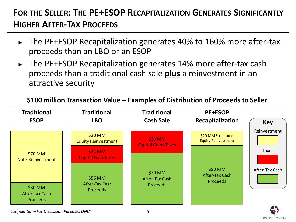# **FOR THE SELLER: THE PE+ESOP RECAPITALIZATION GENERATES SIGNIFICANTLY HIGHER AFTER-TAX PROCEEDS**

- The PE+ESOP Recapitalization generates 40% to 160% more after-tax proceeds than an LBO or an ESOP
- ► The PE+ESOP Recapitalization generates 14% more after-tax cash proceeds than a traditional cash sale **plus** a reinvestment in an attractive security

**\$100 million Transaction Value – Examples of Distribution of Proceeds to Seller**



*Confidential – For Discussion Purposes ONLY*

LONG POINT CAPITAL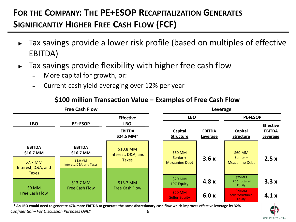# **FOR THE COMPANY: THE PE+ESOP RECAPITALIZATION GENERATES SIGNIFICANTLY HIGHER FREE CASH FLOW (FCF)**

- ► Tax savings provide a lower risk profile (based on multiples of effective EBITDA)
- $\blacktriangleright$  Tax savings provide flexibility with higher free cash flow
	- More capital for growth, or:
	- Current cash yield averaging over 12% per year

| <b>Free Cash Flow</b>                                                                                             |                                        | Leverage                                                                 |                                              |                           |                                               |                                               |  |
|-------------------------------------------------------------------------------------------------------------------|----------------------------------------|--------------------------------------------------------------------------|----------------------------------------------|---------------------------|-----------------------------------------------|-----------------------------------------------|--|
|                                                                                                                   |                                        | <b>Effective</b>                                                         |                                              | <b>LBO</b>                |                                               | <b>PE+ESOP</b>                                |  |
| <b>LBO</b>                                                                                                        | <b>PE+ESOP</b>                         | <b>LBO</b><br>Capital<br><b>EBITDA</b><br>\$24.5 MM*<br><b>Structure</b> |                                              | <b>EBITDA</b><br>Leverage | Capital<br><b>Structure</b>                   | <b>Effective</b><br><b>EBITDA</b><br>Leverage |  |
| <b>EBITDA</b><br>\$16.7 MM<br>$$7.7$ MM<br>Interest, D&A, and<br><b>Taxes</b><br>$$9$ MM<br><b>Free Cash Flow</b> | <b>EBITDA</b><br>\$16.7 MM<br>\$3.0 MM | \$10.8 MM<br>Interest, D&A, and<br><b>Taxes</b>                          | \$60 MM<br>Senior +<br><b>Mezzanine Debt</b> | 3.6x                      | \$60 MM<br>Senior +<br><b>Mezzanine Debt</b>  | 2.5x                                          |  |
|                                                                                                                   | Interest, D&A, and Taxes<br>$$13.7$ MM | \$13.7 MM                                                                | $$20$ MM<br><b>LPC Equity</b>                | 4.8x                      | \$20 MM<br><b>LPC Structured</b><br>Equity    | 3.3x                                          |  |
|                                                                                                                   | <b>Free Cash Flow</b>                  | <b>Free Cash Flow</b>                                                    | <b>\$20 MM</b><br><b>Seller Equity</b>       | 6.0x                      | \$20 MM<br><b>Seller Structured</b><br>Equity | 4.1x                                          |  |

#### **\$100 million Transaction Value – Examples of Free Cash Flow**

*Confidential – For Discussion Purposes ONLY* 6 **\* An LBO would need to generate 47% more EBITDA to generate the same discretionary cash flow which improves effective leverage by 32%** 

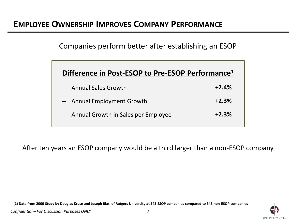Companies perform better after establishing an ESOP

| Difference in Post-ESOP to Pre-ESOP Performance <sup>1</sup> |         |  |  |  |
|--------------------------------------------------------------|---------|--|--|--|
| - Annual Sales Growth                                        | $+2.4%$ |  |  |  |
| - Annual Employment Growth                                   | $+2.3%$ |  |  |  |
| - Annual Growth in Sales per Employee                        | $+2.3%$ |  |  |  |

After ten years an ESOP company would be a third larger than a non-ESOP company

**(1) Data from 2000 Study by Douglas Kruse and Joseph Blasi of Rutgers University at 343 ESOP companies compared to 343 non-ESOP companies**

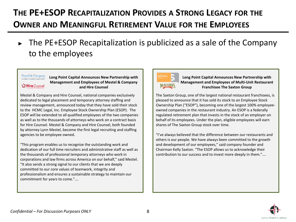# **THE PE+ESOP RECAPITALIZATION PROVIDES A STRONG LEGACY FOR THE OWNER AND MEANINGFUL RETIREMENT VALUE FOR THE EMPLOYEES**

► The PE+ESOP Recapitalization is publicized as a sale of the Company to the employees

#### Mestel & Company

**Hire** Counsel

**Long Point Capital Announces New Partnership with Management and Employees of Mestel & Company and Hire Counsel**

Mestel & Company and Hire Counsel, national companies exclusively dedicated to legal placement and temporary attorney staffing and review management, announced today that they have sold their stock to the HCMC Legal, Inc. Employee Stock Ownership Plan (ESOP). The ESOP will be extended to all qualified employees of the two companies as well as to the thousands of attorneys who work on a contract basis for Hire Counsel. Mestel & Company and Hire Counsel, both founded by attorney Lynn Mestel, become the first legal recruiting and staffing agencies to be employee owned.

"This program enables us to recognize the outstanding work and dedication of our full time recruiters and administrative staff as well as the thousands of professional temporary attorneys who work in corporations and law firms across America on our behalf," said Mestel. "It also sends a strong signal to our clients that we are deeply committed to our core values of teamwork, integrity and professionalism and ensures a sustainable strategy to maintain our commitment for years to come."….



**Long Point Capital Announces New Partnership with Management and Employees of Multi-Unit Restaurant Franchisee The Saxton Group**

The Saxton Group, one of the largest national restaurant franchisees, is pleased to announce that it has sold its stock to an Employee Stock Ownership Plan ("ESOP"), becoming one of the largest 100% employeeowned companies in the restaurant industry. An ESOP is a federally regulated retirement plan that invests in the stock of an employer on behalf of its employees. Under the plan, eligible employees will earn shares of The Saxton Group stock over time.

"I've always believed that the difference between our restaurants and others is our people. We have always been committed to the growth and development of our employees," said company founder and Chairman Kelly Saxton. "The ESOP allows us to acknowledge their contribution to our success and to invest more deeply in them."….

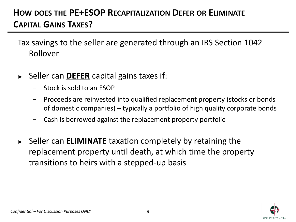## **HOW DOES THE PE+ESOP RECAPITALIZATION DEFER OR ELIMINATE CAPITAL GAINS TAXES?**

Tax savings to the seller are generated through an IRS Section 1042 Rollover

- ► Seller can **DEFER** capital gains taxes if:
	- − Stock is sold to an ESOP
	- − Proceeds are reinvested into qualified replacement property (stocks or bonds of domestic companies) – typically a portfolio of high quality corporate bonds
	- − Cash is borrowed against the replacement property portfolio
- ► Seller can **ELIMINATE** taxation completely by retaining the replacement property until death, at which time the property transitions to heirs with a stepped-up basis

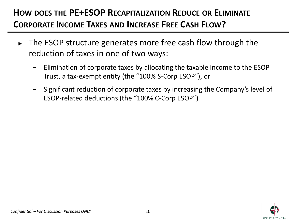## **HOW DOES THE PE+ESOP RECAPITALIZATION REDUCE OR ELIMINATE CORPORATE INCOME TAXES AND INCREASE FREE CASH FLOW?**

- ► The ESOP structure generates more free cash flow through the reduction of taxes in one of two ways:
	- − Elimination of corporate taxes by allocating the taxable income to the ESOP Trust, a tax-exempt entity (the "100% S-Corp ESOP"), or
	- − Significant reduction of corporate taxes by increasing the Company's level of ESOP-related deductions (the "100% C-Corp ESOP")

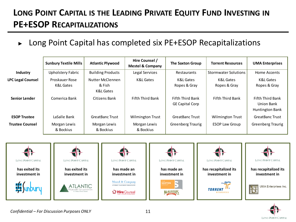## **LONG POINT CAPITAL IS THE LEADING PRIVATE EQUITY FUND INVESTING IN PE+ESOP RECAPITALIZATIONS**

► Long Point Capital has completed six PE+ESOP Recapitalizations

|                          | <b>Sunbury Textile Mills</b> | <b>Atlantic Plywood</b>                 | Hire Counsel /<br><b>Mestel &amp; Company</b> | <b>The Saxton Group</b>                           | <b>Torrent Resources</b>    | <b>UMA Enterprises</b>                            |
|--------------------------|------------------------------|-----------------------------------------|-----------------------------------------------|---------------------------------------------------|-----------------------------|---------------------------------------------------|
| Industry                 | <b>Upholstery Fabric</b>     | <b>Building Products</b>                | Legal Services                                | Restaurants                                       | <b>Stormwater Solutions</b> | Home Accents                                      |
| <b>LPC Legal Counsel</b> | Proskauer Rose<br>K&L Gates  | Nutter McClennen<br>& Fish<br>K&L Gates | K&L Gates                                     | K&L Gates<br>Ropes & Gray                         | K&L Gates<br>Ropes & Gray   | K&L Gates<br>Ropes & Gray                         |
| <b>Senior Lender</b>     | Comerica Bank                | Citizens Bank                           | Fifth Third Bank                              | <b>Fifth Third Bank</b><br><b>GE Capital Corp</b> | <b>Fifth Third Bank</b>     | Fifth Third Bank<br>Union Bank<br>Huntington Bank |
| <b>ESOP Trustee</b>      | LaSalle Bank                 | <b>GreatBanc Trust</b>                  | <b>Wilmington Trust</b>                       | <b>GreatBanc Trust</b>                            | Wilmington Trust            | <b>GreatBanc Trust</b>                            |
| <b>Trustee Counsel</b>   | Morgan Lewis<br>& Bockius    | Morgan Lewis<br>& Bockius               | Morgan Lewis<br>& Bockius                     | <b>Greenberg Traurig</b>                          | <b>ESOP Law Group</b>       | <b>Greenberg Traurig</b>                          |



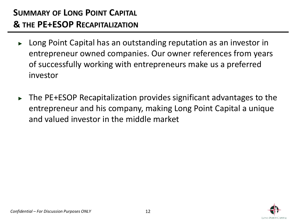- ► Long Point Capital has an outstanding reputation as an investor in entrepreneur owned companies. Our owner references from years of successfully working with entrepreneurs make us a preferred investor
- The PE+ESOP Recapitalization provides significant advantages to the entrepreneur and his company, making Long Point Capital a unique and valued investor in the middle market